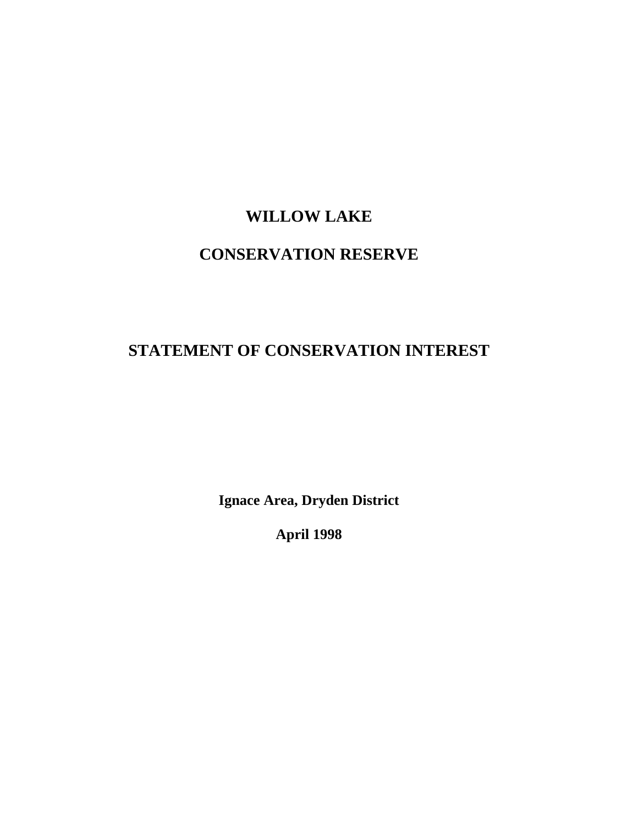# **WILLOW LAKE**

# **CONSERVATION RESERVE**

# **STATEMENT OF CONSERVATION INTEREST**

**Ignace Area, Dryden District** 

**April 1998**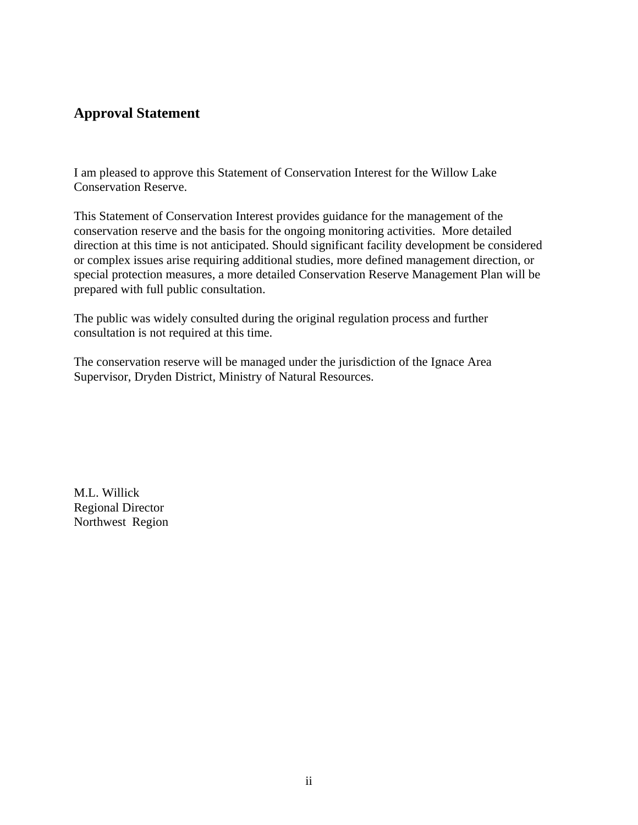## **Approval Statement**

I am pleased to approve this Statement of Conservation Interest for the Willow Lake Conservation Reserve.

This Statement of Conservation Interest provides guidance for the management of the conservation reserve and the basis for the ongoing monitoring activities. More detailed direction at this time is not anticipated. Should significant facility development be considered or complex issues arise requiring additional studies, more defined management direction, or special protection measures, a more detailed Conservation Reserve Management Plan will be prepared with full public consultation.

The public was widely consulted during the original regulation process and further consultation is not required at this time.

The conservation reserve will be managed under the jurisdiction of the Ignace Area Supervisor, Dryden District, Ministry of Natural Resources.

M.L. Willick Regional Director Northwest Region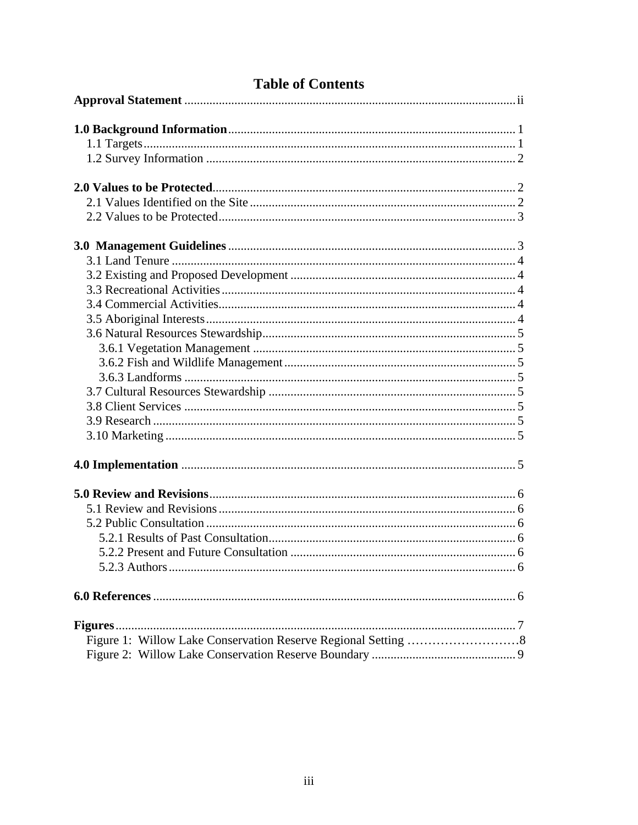## **Table of Contents**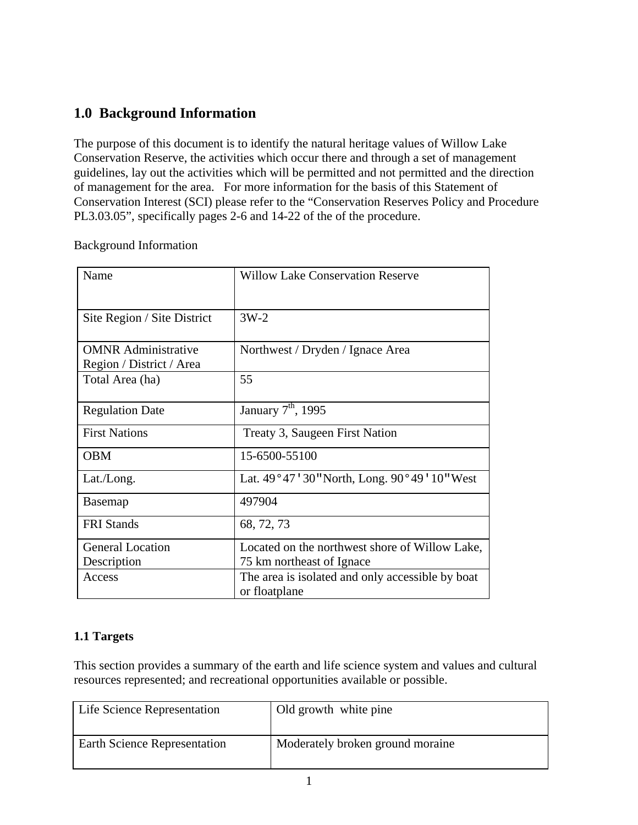## **1.0 Background Information**

The purpose of this document is to identify the natural heritage values of Willow Lake Conservation Reserve, the activities which occur there and through a set of management guidelines, lay out the activities which will be permitted and not permitted and the direction of management for the area. For more information for the basis of this Statement of Conservation Interest (SCI) please refer to the "Conservation Reserves Policy and Procedure PL3.03.05", specifically pages 2-6 and 14-22 of the of the procedure.

| Davkground milorination |      |                          |  |
|-------------------------|------|--------------------------|--|
|                         | Name | <b>Willow Lake Conse</b> |  |

Background Information

| Name                        | <b>Willow Lake Conservation Reserve</b>                           |
|-----------------------------|-------------------------------------------------------------------|
| Site Region / Site District | $3W-2$                                                            |
|                             |                                                                   |
| <b>OMNR</b> Administrative  | Northwest / Dryden / Ignace Area                                  |
| Region / District / Area    |                                                                   |
| Total Area (ha)             | 55                                                                |
| <b>Regulation Date</b>      | January 7 <sup>th</sup> , 1995                                    |
| <b>First Nations</b>        | Treaty 3, Saugeen First Nation                                    |
| <b>OBM</b>                  | 15-6500-55100                                                     |
| Lat./Long.                  | Lat. 49°47′30″ North, Long. 90°49′10″ West                        |
| <b>Basemap</b>              | 497904                                                            |
| <b>FRI</b> Stands           | 68, 72, 73                                                        |
| <b>General Location</b>     | Located on the northwest shore of Willow Lake,                    |
| Description                 | 75 km northeast of Ignace                                         |
| Access                      | The area is isolated and only accessible by boat<br>or floatplane |

## **1.1 Targets**

This section provides a summary of the earth and life science system and values and cultural resources represented; and recreational opportunities available or possible.

| Life Science Representation         | Old growth white pine            |
|-------------------------------------|----------------------------------|
| <b>Earth Science Representation</b> | Moderately broken ground moraine |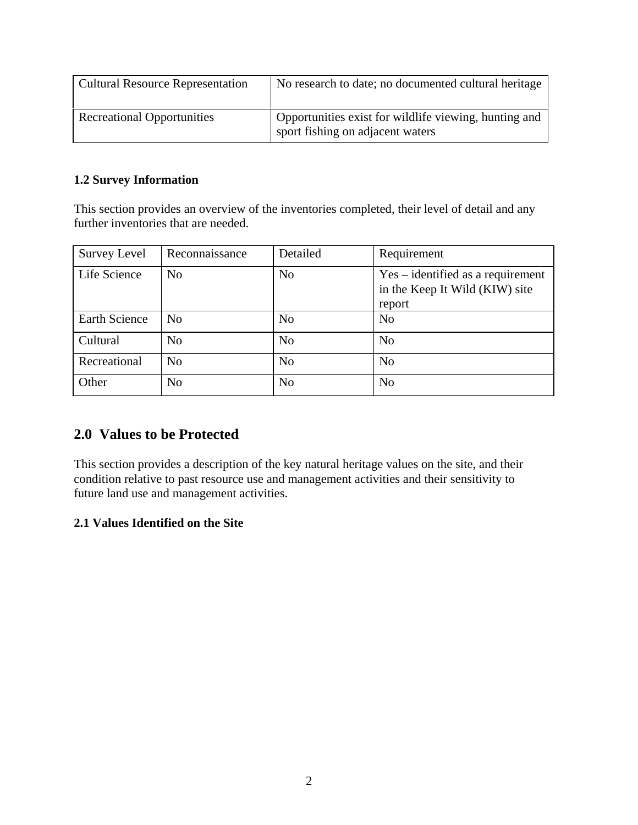| <b>Cultural Resource Representation</b> | No research to date; no documented cultural heritage                                      |
|-----------------------------------------|-------------------------------------------------------------------------------------------|
| <b>Recreational Opportunities</b>       | Opportunities exist for wildlife viewing, hunting and<br>sport fishing on adjacent waters |

#### **1.2 Survey Information**

This section provides an overview of the inventories completed, their level of detail and any further inventories that are needed.

| <b>Survey Level</b>  | Reconnaissance | Detailed       | Requirement                                                                     |
|----------------------|----------------|----------------|---------------------------------------------------------------------------------|
| Life Science         | N <sub>o</sub> | N <sub>0</sub> | $Yes - identified as a requirement$<br>in the Keep It Wild (KIW) site<br>report |
| <b>Earth Science</b> | N <sub>o</sub> | N <sub>o</sub> | N <sub>o</sub>                                                                  |
| Cultural             | No             | N <sub>o</sub> | N <sub>o</sub>                                                                  |
| Recreational         | N <sub>0</sub> | N <sub>o</sub> | N <sub>o</sub>                                                                  |
| Other                | N <sub>o</sub> | N <sub>o</sub> | N <sub>o</sub>                                                                  |

## **2.0 Values to be Protected**

This section provides a description of the key natural heritage values on the site, and their condition relative to past resource use and management activities and their sensitivity to future land use and management activities.

## **2.1 Values Identified on the Site**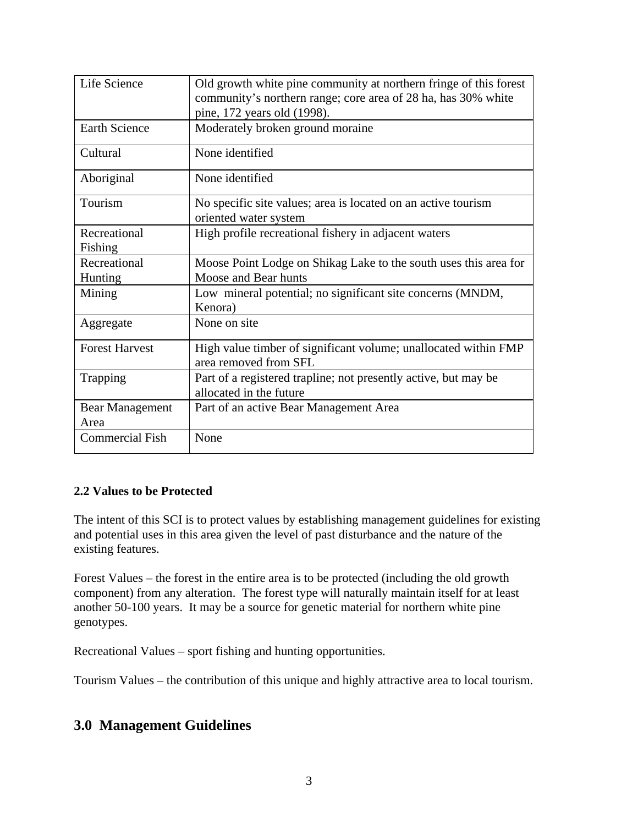| Life Science           | Old growth white pine community at northern fringe of this forest                        |
|------------------------|------------------------------------------------------------------------------------------|
|                        | community's northern range; core area of 28 ha, has 30% white                            |
|                        | pine, 172 years old (1998).                                                              |
| <b>Earth Science</b>   | Moderately broken ground moraine                                                         |
| Cultural               | None identified                                                                          |
| Aboriginal             | None identified                                                                          |
| Tourism                | No specific site values; area is located on an active tourism                            |
|                        | oriented water system                                                                    |
| Recreational           | High profile recreational fishery in adjacent waters                                     |
| Fishing                |                                                                                          |
| Recreational           | Moose Point Lodge on Shikag Lake to the south uses this area for                         |
| Hunting                | Moose and Bear hunts                                                                     |
| Mining                 | Low mineral potential; no significant site concerns (MNDM,                               |
|                        | Kenora)                                                                                  |
| Aggregate              | None on site                                                                             |
| <b>Forest Harvest</b>  | High value timber of significant volume; unallocated within FMP<br>area removed from SFL |
| Trapping               | Part of a registered trapline; not presently active, but may be                          |
|                        | allocated in the future                                                                  |
| <b>Bear Management</b> | Part of an active Bear Management Area                                                   |
| Area                   |                                                                                          |
| <b>Commercial Fish</b> | None                                                                                     |

#### **2.2 Values to be Protected**

The intent of this SCI is to protect values by establishing management guidelines for existing and potential uses in this area given the level of past disturbance and the nature of the existing features.

Forest Values – the forest in the entire area is to be protected (including the old growth component) from any alteration. The forest type will naturally maintain itself for at least another 50-100 years. It may be a source for genetic material for northern white pine genotypes.

Recreational Values – sport fishing and hunting opportunities.

Tourism Values – the contribution of this unique and highly attractive area to local tourism.

## **3.0 Management Guidelines**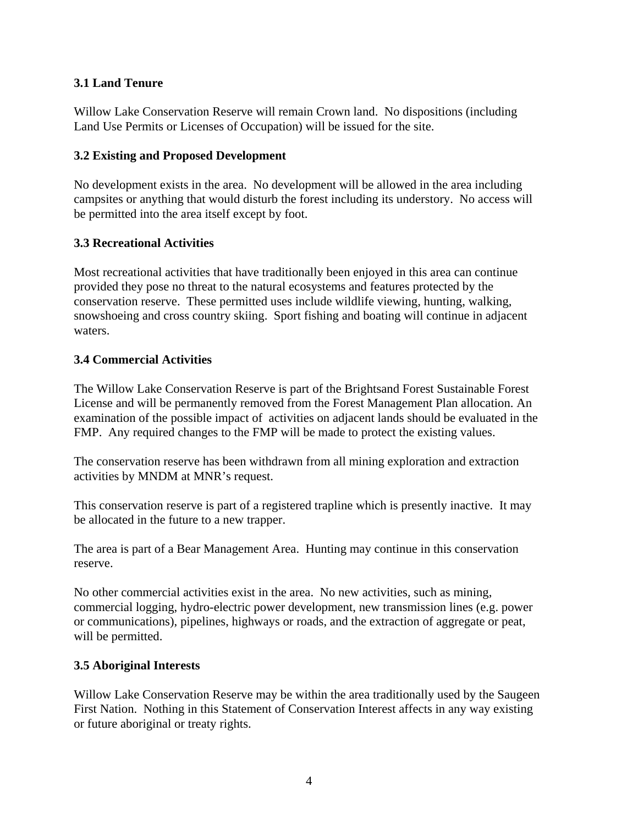#### **3.1 Land Tenure**

Willow Lake Conservation Reserve will remain Crown land. No dispositions (including Land Use Permits or Licenses of Occupation) will be issued for the site.

#### **3.2 Existing and Proposed Development**

No development exists in the area. No development will be allowed in the area including campsites or anything that would disturb the forest including its understory. No access will be permitted into the area itself except by foot.

#### **3.3 Recreational Activities**

Most recreational activities that have traditionally been enjoyed in this area can continue provided they pose no threat to the natural ecosystems and features protected by the conservation reserve. These permitted uses include wildlife viewing, hunting, walking, snowshoeing and cross country skiing. Sport fishing and boating will continue in adjacent waters.

#### **3.4 Commercial Activities**

The Willow Lake Conservation Reserve is part of the Brightsand Forest Sustainable Forest License and will be permanently removed from the Forest Management Plan allocation. An examination of the possible impact of activities on adjacent lands should be evaluated in the FMP. Any required changes to the FMP will be made to protect the existing values.

The conservation reserve has been withdrawn from all mining exploration and extraction activities by MNDM at MNR's request.

This conservation reserve is part of a registered trapline which is presently inactive. It may be allocated in the future to a new trapper.

The area is part of a Bear Management Area. Hunting may continue in this conservation reserve.

No other commercial activities exist in the area. No new activities, such as mining, commercial logging, hydro-electric power development, new transmission lines (e.g. power or communications), pipelines, highways or roads, and the extraction of aggregate or peat, will be permitted.

#### **3.5 Aboriginal Interests**

Willow Lake Conservation Reserve may be within the area traditionally used by the Saugeen First Nation. Nothing in this Statement of Conservation Interest affects in any way existing or future aboriginal or treaty rights.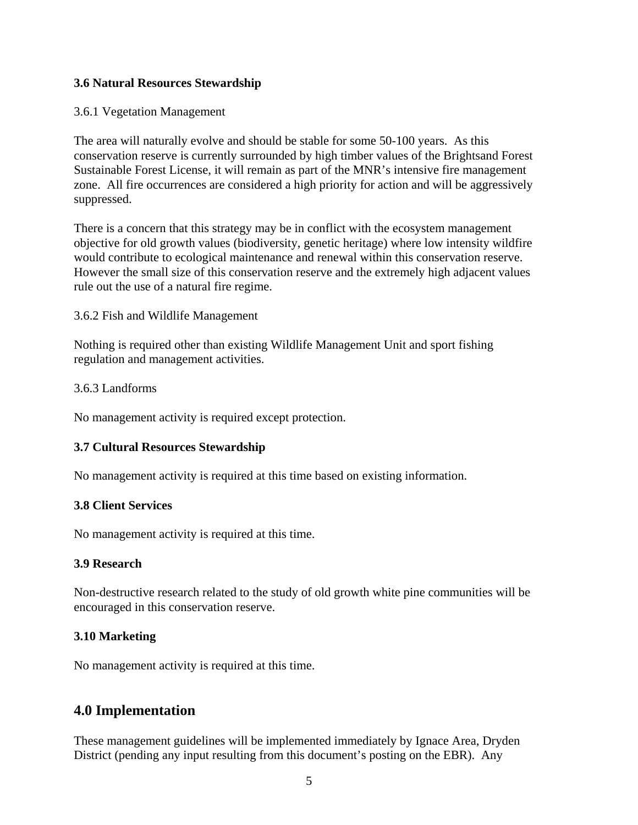#### **3.6 Natural Resources Stewardship**

#### 3.6.1 Vegetation Management

The area will naturally evolve and should be stable for some 50-100 years. As this conservation reserve is currently surrounded by high timber values of the Brightsand Forest Sustainable Forest License, it will remain as part of the MNR's intensive fire management zone. All fire occurrences are considered a high priority for action and will be aggressively suppressed.

There is a concern that this strategy may be in conflict with the ecosystem management objective for old growth values (biodiversity, genetic heritage) where low intensity wildfire would contribute to ecological maintenance and renewal within this conservation reserve. However the small size of this conservation reserve and the extremely high adjacent values rule out the use of a natural fire regime.

#### 3.6.2 Fish and Wildlife Management

Nothing is required other than existing Wildlife Management Unit and sport fishing regulation and management activities.

#### 3.6.3 Landforms

No management activity is required except protection.

#### **3.7 Cultural Resources Stewardship**

No management activity is required at this time based on existing information.

#### **3.8 Client Services**

No management activity is required at this time.

#### **3.9 Research**

Non-destructive research related to the study of old growth white pine communities will be encouraged in this conservation reserve.

#### **3.10 Marketing**

No management activity is required at this time.

## **4.0 Implementation**

These management guidelines will be implemented immediately by Ignace Area, Dryden District (pending any input resulting from this document's posting on the EBR). Any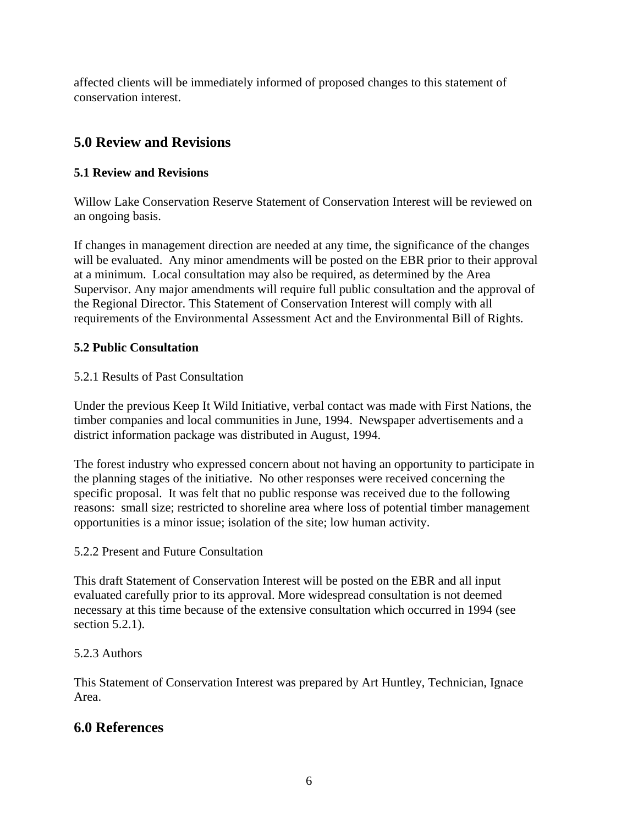affected clients will be immediately informed of proposed changes to this statement of conservation interest.

## **5.0 Review and Revisions**

## **5.1 Review and Revisions**

Willow Lake Conservation Reserve Statement of Conservation Interest will be reviewed on an ongoing basis.

If changes in management direction are needed at any time, the significance of the changes will be evaluated. Any minor amendments will be posted on the EBR prior to their approval at a minimum. Local consultation may also be required, as determined by the Area Supervisor. Any major amendments will require full public consultation and the approval of the Regional Director. This Statement of Conservation Interest will comply with all requirements of the Environmental Assessment Act and the Environmental Bill of Rights.

## **5.2 Public Consultation**

## 5.2.1 Results of Past Consultation

Under the previous Keep It Wild Initiative, verbal contact was made with First Nations, the timber companies and local communities in June, 1994. Newspaper advertisements and a district information package was distributed in August, 1994.

The forest industry who expressed concern about not having an opportunity to participate in the planning stages of the initiative. No other responses were received concerning the specific proposal. It was felt that no public response was received due to the following reasons: small size; restricted to shoreline area where loss of potential timber management opportunities is a minor issue; isolation of the site; low human activity.

## 5.2.2 Present and Future Consultation

This draft Statement of Conservation Interest will be posted on the EBR and all input evaluated carefully prior to its approval. More widespread consultation is not deemed necessary at this time because of the extensive consultation which occurred in 1994 (see section 5.2.1).

## 5.2.3 Authors

This Statement of Conservation Interest was prepared by Art Huntley, Technician, Ignace Area.

## **6.0 References**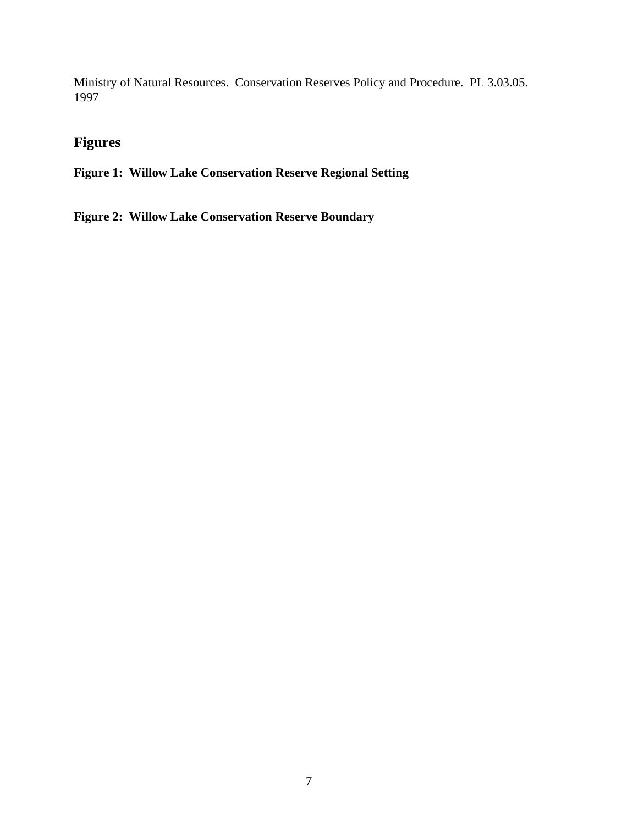Ministry of Natural Resources. Conservation Reserves Policy and Procedure. PL 3.03.05. 1997

## **Figures**

**Figure 1: Willow Lake Conservation Reserve Regional Setting** 

**Figure 2: Willow Lake Conservation Reserve Boundary**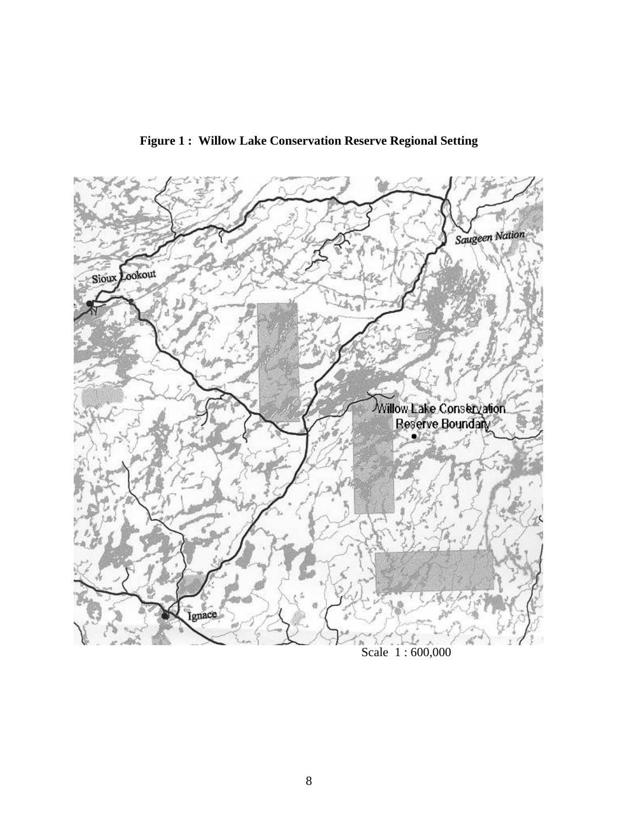

**Figure 1 : Willow Lake Conservation Reserve Regional Setting**